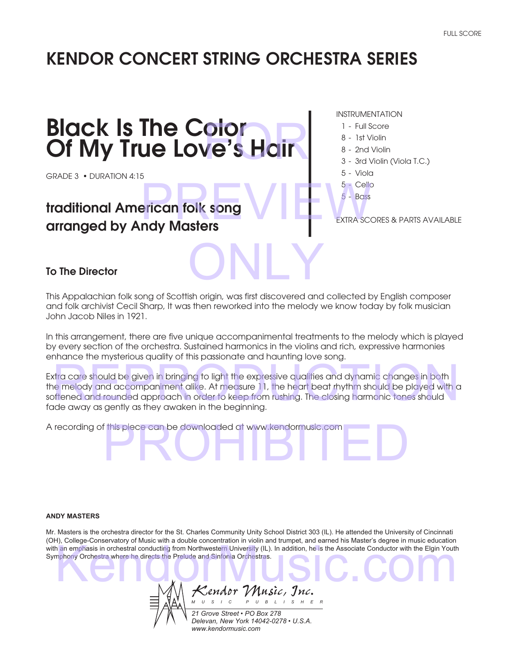# KENDOR CONCERT STRING ORCHESTRA SERIES

# Black Is The Color Of My True Love's Hair olor<br>ve's Hair

GRADE 3 • DURATION 4:15

## traditional American folk song arranged by Andy Masters **Prican folk song Williams Contact Second Stranger Second EXTRA SCORE**

INSTRUMENTATION

- 1 Full Score
- 8 1st Violin
- 8 2nd Violin
- 3 3rd Violin (Viola T.C.)
- 5 Viola
- 5 Cello
- 5 Bass

EXTRA SCORES & PARTS AVAILABLE

#### To The Director

This Appalachian folk song of Scottish origin, was first discovered and collected by English composer and folk archivist Cecil Sharp, It was then reworked into the melody we know today by folk musician John Jacob Niles in 1921. ONLY

In this arrangement, there are five unique accompanimental treatments to the melody which is played by every section of the orchestra. Sustained harmonics in the violins and rich, expressive harmonies enhance the mysterious quality of this passionate and haunting love song.

Extra care should be given in bringing to light the expressive qualities and dynamic changes in both the melody and accompaniment alike. At measure 11, the heart beat rhythm should be played with a softened and rounded approach in order to keep from rushing. The closing harmonic tones should fade away as gently as they awaken in the beginning. ktra care should be given in bringing to light the expressive qualities and dynamic changes in both<br>ne melody and accompaniment alike. At measure 11, the heart beat rhythm should be played with a<br>oftened and rounded approa

A recording of this piece can be downloaded at www.kendormusic.com<br>PROHIBITED SCRIPTION OF THE DISTURBANCE OF THE DISTURBANCE OF THE DISTURBANCE OF THE DISTURBANCE OF THE DISTURBANCE OF THE DISTURBANCE OF THE DISTURBANCE O

#### **ANDY MASTERS**

Mr. Masters is the orchestra director for the St. Charles Community Unity School District 303 (IL). He attended the University of Cincinnati (OH), College-Conservatory of Music with a double concentration in violin and trumpet, and earned his Master's degree in music education with an emphasis in orchestral conducting from Northwestern University (IL). In addition, he is the Associate Conductor with the Elgin Youth<br>
Symphony Orchestra where he directs the Prelude and Sinfonia Orchestras.<br>
Music. Symphony Orchestra where he directs the Prelude and Sinfonia Orchestras.

*Kendor Music, Inc. M U S I C P U B L I S H E R*

*21 Grove Street • PO Box 278 Delevan, New York 14042-0278 • U.S.A.*

*www.kendormusic.com*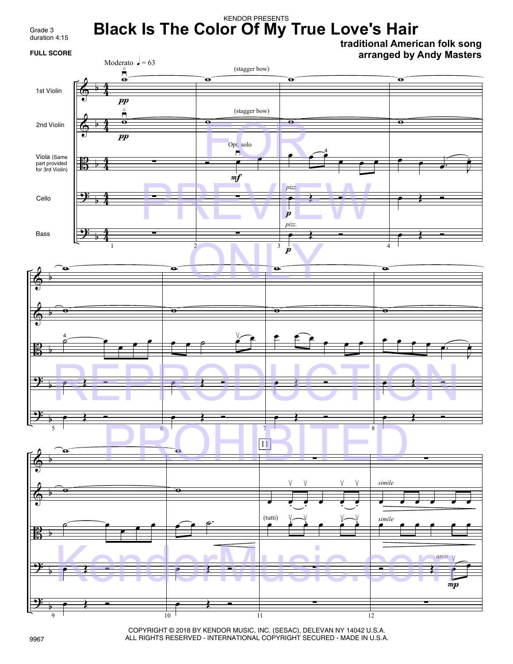# **Black Is The Color Of My True Love's Hair**

Grade 3 duration 4:15

**FULL SCORE** 

**traditional American folk song arranged by Andy Masters**



COPYRIGHT © 2018 BY KENDOR MUSIC, INC. (SESAC), DELEVAN NY 14042 U.S.A. ALL RIGHTS RESERVED - INTERNATIONAL COPYRIGHT SECURED - MADE IN U.S.A.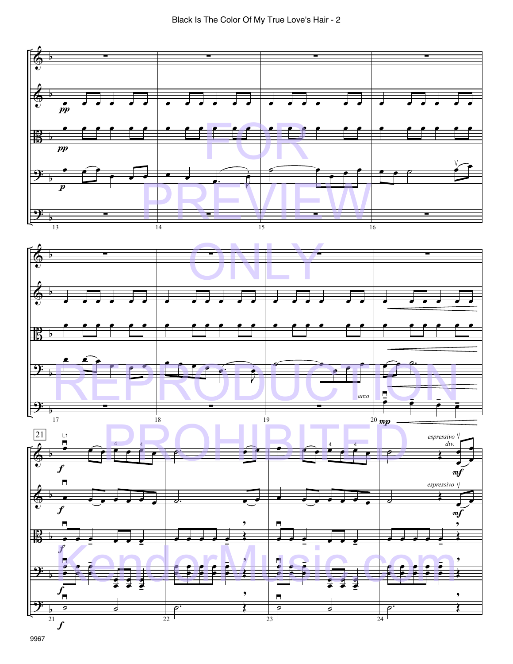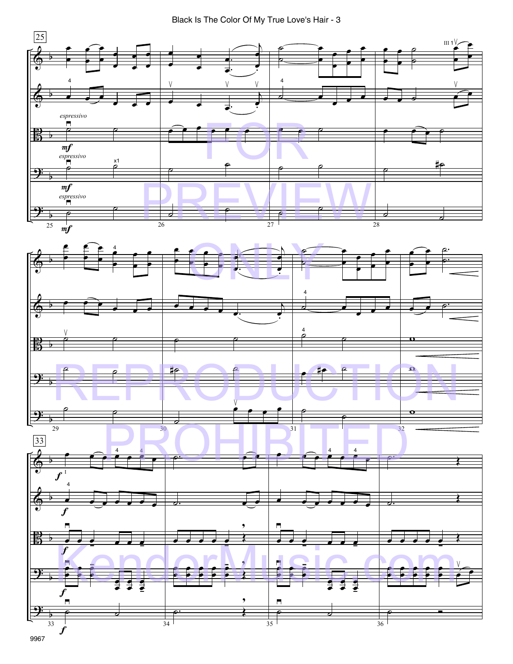

.

˙ 4

œ

˙

 $\frac{4}{\sqrt{2}}$ 

œ œ œ œ œ œ

˙

 $\overline{\mathbf{o}}$ 

 $\Omega$ 

w

<del>. . . . .</del>

 $\overline{\mathscr{E}}$   $\overline{\mathscr{E}}$ 

-

Œ

Œ

Œ

32

˙.

˙.

œ œ œ œ œ œ œ œ œ œ œ ≤ œ

36

 $\overline{e}$ 

4 4

œ œ œ -

œ œ œ œ œ œ -

 $\overline{\mathbf{a}}$ 

œ

œ

 $\mathbb{P}$   $\mathbb{P}$ 

œ

œ ≥

œ œ ≥ œ œ œ œ -

 $rac{1}{35}$ ˙ ≥  $\overline{\cdot}$ -

 $\overline{31}$ 

 $\circ$   $\circ$ 

 $\frac{1}{2}$   $\frac{1}{2}$ 

∨<br>e ≤

˙ œ . œ

 $\overline{\phantom{a}}$  .  $\overline{\phantom{a}}$  .

-

Œ ,

Œ ,

KendorMusic.com

,

<del>. . . . .</del>

 $\circ$  .

œ œ œ œ œ œ œ œ œ œ -

 $rac{1}{34}$ 

œ œ

REPRODUCTION

 $\begin{array}{|c|c|c|c|c|}\hline \rule{0pt}{1ex} & \rule{0pt}{1ex} \rule{0pt}{1ex} \rule{0pt}{1ex} \rule{0pt}{1ex} \rule{0pt}{1ex} \rule{0pt}{1ex} \rule{0pt}{1ex} \rule{0pt}{1ex} \rule{0pt}{1ex} \rule{0pt}{1ex} \rule{0pt}{1ex} \rule{0pt}{1ex} \rule{0pt}{1ex} \rule{0pt}{1ex} \rule{0pt}{1ex} \rule{0pt}{1ex} \rule{0pt}{1ex} \rule{0pt}{1ex} \rule{0pt}{1ex} \rule{0pt}{1ex} \rule{0pt}{1ex} \rule$ 



<u>.</u>

**B** 

b

∨<br>P ≤

˙

˙

I

f 4 ˙

˙

˙

4 4

 $\bullet$   $\bullet$   $\bullet$   $\bullet$   $\bullet$   $\bullet$ 

œ œ œ œ œ œ

30 **o**ʻ

œ

œ

 $\overrightarrow{e}$ -

œ œ œ œ œ œ -

 $\overline{\mathbf{a}}$ 

b

b

b

b

b

œ ≥

f

f

œ œ ≥ œ œ œ œ -

˙ ≥

f

f

 $\overline{\cdot}$ -

b

b

33

29

<u>.</u>

 $\overline{P}$ 

 $\Phi$ 

33

&

**B** 

<u>.</u>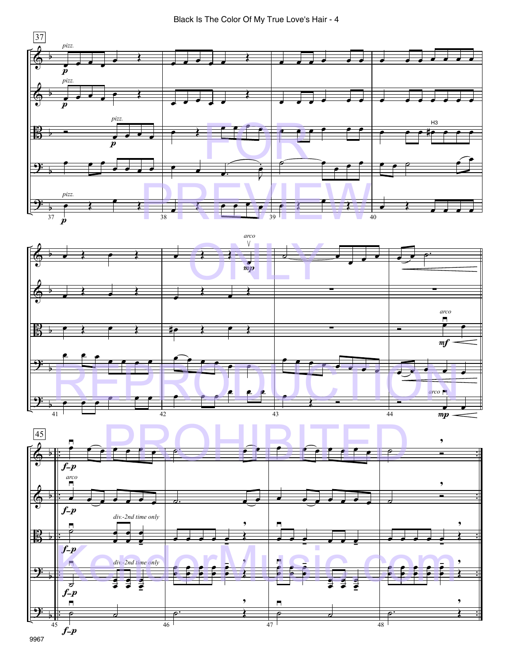Black Is The Color Of My True Love's Hair - 4



9967